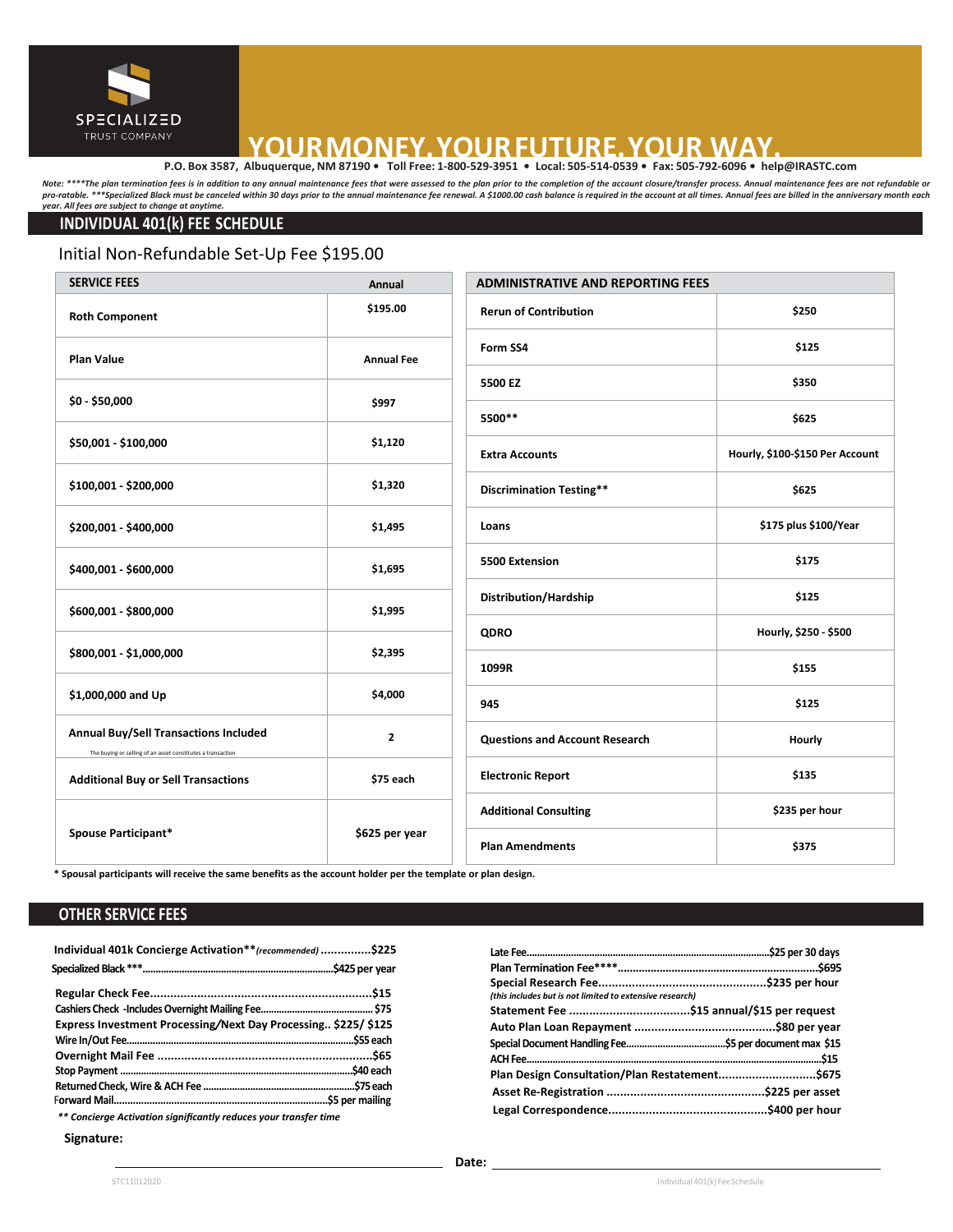

# **YOUR MONEY. YOUR FUTURE. YOUR WAY.**<br> **P.O. Box 3587, Albuquerque, NM 87190 •** Toll Free: 1-800-529-3951 • Local: 505-514-0539 • Fax: 505-792-6096 • help@IRASTC.com

Note: \*\*\*\*The plan termination fees is in addition to any annual maintenance fees that were assessed to the plan prior to the completion of the account closure/transfer process. Annual maintenance fees are not refundable o pro-ratable. \*\*\*Specialized Black must be canceled within 30 days prior to the annual maintenance fee renewal. A \$1000.00 cash balance is required in the account at all times. Annual fees are billed in the anniversary mont *year. All fees are subject to change at anytime.* 

#### **INDIVIDUAL 401(k) FEE SCHEDULE**

#### Initial Non-Refundable Set-Up Fee \$195.00

| <b>SERVICE FEES</b><br>Annual                                                                               |                   | <b>ADMINISTRATIVE AND REPORTING FEES</b> |                                 |
|-------------------------------------------------------------------------------------------------------------|-------------------|------------------------------------------|---------------------------------|
| <b>Roth Component</b>                                                                                       | \$195.00          | <b>Rerun of Contribution</b>             | \$250                           |
| <b>Plan Value</b>                                                                                           | <b>Annual Fee</b> | Form SS4                                 | \$125                           |
|                                                                                                             | \$997             | 5500 EZ                                  | \$350                           |
| $$0 - $50,000$                                                                                              |                   | 5500**                                   | \$625                           |
| \$50,001 - \$100,000                                                                                        | \$1,120           | <b>Extra Accounts</b>                    | Hourly, \$100-\$150 Per Account |
| \$100,001 - \$200,000                                                                                       | \$1,320           | <b>Discrimination Testing**</b>          | \$625                           |
| \$200,001 - \$400,000                                                                                       | \$1,495           | Loans                                    | \$175 plus \$100/Year           |
| \$400,001 - \$600,000                                                                                       | \$1,695           | 5500 Extension                           | \$175                           |
| \$600,001 - \$800,000                                                                                       | \$1,995           | Distribution/Hardship                    | \$125                           |
|                                                                                                             |                   | <b>QDRO</b>                              | Hourly, \$250 - \$500           |
| \$800,001 - \$1,000,000                                                                                     | \$2,395           | 1099R                                    | \$155                           |
| \$1,000,000 and Up                                                                                          | \$4,000           | 945                                      | \$125                           |
| <b>Annual Buy/Sell Transactions Included</b><br>The buying or selling of an asset constitutes a transaction | $\mathbf{2}$      | <b>Questions and Account Research</b>    | Hourly                          |
| <b>Additional Buy or Sell Transactions</b>                                                                  | \$75 each         | <b>Electronic Report</b>                 | \$135                           |
| <b>Spouse Participant*</b>                                                                                  | \$625 per year    | <b>Additional Consulting</b>             | \$235 per hour                  |
|                                                                                                             |                   | <b>Plan Amendments</b>                   | \$375                           |

**\* Spousal participants will receive the same benefits as the account holder per the template or plan design.** 

#### **OTHER SERVICE FEES**

| Individual 401k Concierge Activation**(recommended) \$225      |  |
|----------------------------------------------------------------|--|
|                                                                |  |
|                                                                |  |
|                                                                |  |
| Express Investment Processing/Next Day Processing \$225/ \$125 |  |
|                                                                |  |
|                                                                |  |
|                                                                |  |
|                                                                |  |
|                                                                |  |
|                                                                |  |

*\*\* Concierge Activation significantly reduces your transfer time*

#### **Signature:**

**Late Fee.............................................................................................\$25 per 30 days Plan Termination Fee\*\*\*\*...................................................................\$695 Special Research Fee..................................................\$235 per hour** 

**Statement Fee ....................................\$15 annual/\$15 per request Auto Plan Loan Repayment ..........................................\$80 per year SpecialDocumentHandling Fee......................................\$5 per document max \$15 ACHFee.................................................................................................................\$15 Plan Design Consultation/Plan Restatement.............................\$675 Asset Re-Registration ...............................................\$225 per asset**

**Legal Correspondence...............................................\$400 per hour**

*(this includes but is not limited to extensive research)*